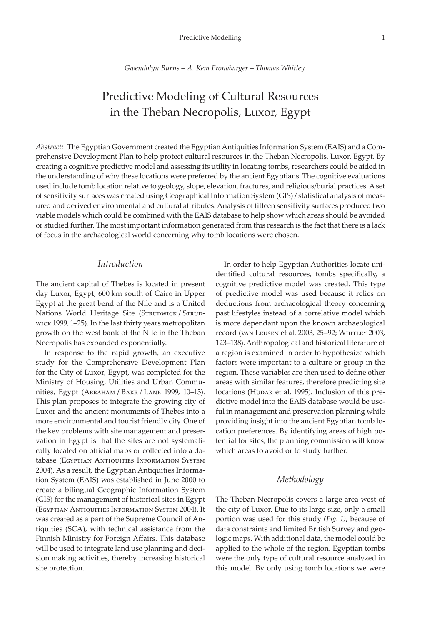*Gwendolyn Burns – A. Kem Fronabarger – Thomas Whitley*

# Predictive Modeling of Cultural Resources in the Theban Necropolis, Luxor, Egypt

*Abstract:* The Egyptian Government created the Egyptian Antiquities Information System (EAIS) and a Comprehensive Development Plan to help protect cultural resources in the Theban Necropolis, Luxor, Egypt. By creating a cognitive predictive model and assessing its utility in locating tombs, researchers could be aided in the understanding of why these locations were preferred by the ancient Egyptians. The cognitive evaluations used include tomb location relative to geology, slope, elevation, fractures, and religious/burial practices. A set of sensitivity surfaces was created using Geographical Information System (GIS) / statistical analysis of measured and derived environmental and cultural attributes. Analysis of fifteen sensitivity surfaces produced two viable models which could be combined with the EAIS database to help show which areas should be avoided or studied further. The most important information generated from this research is the fact that there is a lack of focus in the archaeological world concerning why tomb locations were chosen.

## *Introduction*

The ancient capital of Thebes is located in present day Luxor, Egypt, 600 km south of Cairo in Upper Egypt at the great bend of the Nile and is a United Nations World Heritage Site (STRUDWICK / STRUDwick 1999, 1–25). In the last thirty years metropolitan growth on the west bank of the Nile in the Theban Necropolis has expanded exponentially.

In response to the rapid growth, an executive study for the Comprehensive Development Plan for the City of Luxor, Egypt, was completed for the Ministry of Housing, Utilities and Urban Communities, Egypt (Abraham / Bakr / Lane 1999, 10–13). This plan proposes to integrate the growing city of Luxor and the ancient monuments of Thebes into a more environmental and tourist friendly city. One of the key problems with site management and preservation in Egypt is that the sites are not systematically located on official maps or collected into a database (Egyptian Antiquities Information System 2004). As a result, the Egyptian Antiquities Information System (EAIS) was established in June 2000 to create a bilingual Geographic Information System (GIS) for the management of historical sites in Egypt (Egyptian Antiquities Information System 2004). It was created as a part of the Supreme Council of Antiquities (SCA), with technical assistance from the Finnish Ministry for Foreign Affairs. This database will be used to integrate land use planning and decision making activities, thereby increasing historical site protection.

In order to help Egyptian Authorities locate unidentified cultural resources, tombs specifically, a cognitive predictive model was created. This type of predictive model was used because it relies on deductions from archaeological theory concerning past lifestyles instead of a correlative model which is more dependant upon the known archaeological record (van Leusen et al. 2003, 25–92; Whitley 2003, 123–138). Anthropological and historical literature of a region is examined in order to hypothesize which factors were important to a culture or group in the region. These variables are then used to define other areas with similar features, therefore predicting site locations (Нирак et al. 1995). Inclusion of this predictive model into the EAIS database would be useful in management and preservation planning while providing insight into the ancient Egyptian tomb location preferences. By identifying areas of high potential for sites, the planning commission will know which areas to avoid or to study further.

#### *Methodology*

The Theban Necropolis covers a large area west of the city of Luxor. Due to its large size, only a small portion was used for this study *(Fig. 1)*, because of data constraints and limited British Survey and geologic maps. With additional data, the model could be applied to the whole of the region. Egyptian tombs were the only type of cultural resource analyzed in this model. By only using tomb locations we were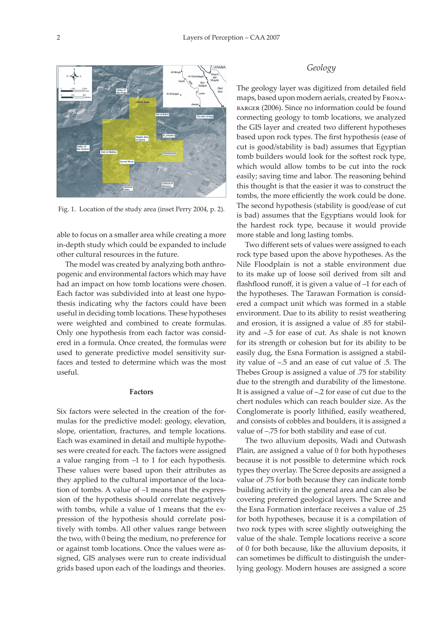

Fig. 1. Location of the study area (inset Perry 2004, p. 2).

able to focus on a smaller area while creating a more in-depth study which could be expanded to include other cultural resources in the future.

The model was created by analyzing both anthropogenic and environmental factors which may have had an impact on how tomb locations were chosen. Each factor was subdivided into at least one hypothesis indicating why the factors could have been useful in deciding tomb locations. These hypotheses were weighted and combined to create formulas. Only one hypothesis from each factor was considered in a formula. Once created, the formulas were used to generate predictive model sensitivity surfaces and tested to determine which was the most useful.

#### **Factors**

Six factors were selected in the creation of the formulas for the predictive model: geology, elevation, slope, orientation, fractures, and temple locations. Each was examined in detail and multiple hypotheses were created for each. The factors were assigned a value ranging from –1 to 1 for each hypothesis. These values were based upon their attributes as they applied to the cultural importance of the location of tombs. A value of –1 means that the expression of the hypothesis should correlate negatively with tombs, while a value of 1 means that the expression of the hypothesis should correlate positively with tombs. All other values range between the two, with 0 being the medium, no preference for or against tomb locations. Once the values were assigned, GIS analyses were run to create individual grids based upon each of the loadings and theories.

#### *Geology*

The geology layer was digitized from detailed field maps, based upon modern aerials, created by Frona-BARGER (2006). Since no information could be found connecting geology to tomb locations, we analyzed the GIS layer and created two different hypotheses based upon rock types. The first hypothesis (ease of cut is good/stability is bad) assumes that Egyptian tomb builders would look for the softest rock type, which would allow tombs to be cut into the rock easily; saving time and labor. The reasoning behind this thought is that the easier it was to construct the tombs, the more efficiently the work could be done. The second hypothesis (stability is good/ease of cut is bad) assumes that the Egyptians would look for the hardest rock type, because it would provide more stable and long lasting tombs.

Two different sets of values were assigned to each rock type based upon the above hypotheses. As the Nile Floodplain is not a stable environment due to its make up of loose soil derived from silt and flashflood runoff, it is given a value of –1 for each of the hypotheses. The Tarawan Formation is considered a compact unit which was formed in a stable environment. Due to its ability to resist weathering and erosion, it is assigned a value of .85 for stability and –.5 for ease of cut. As shale is not known for its strength or cohesion but for its ability to be easily dug, the Esna Formation is assigned a stability value of –.5 and an ease of cut value of .5. The Thebes Group is assigned a value of .75 for stability due to the strength and durability of the limestone. It is assigned a value of –.2 for ease of cut due to the chert nodules which can reach boulder size. As the Conglomerate is poorly lithified, easily weathered, and consists of cobbles and boulders, it is assigned a value of –.75 for both stability and ease of cut.

The two alluvium deposits, Wadi and Outwash Plain, are assigned a value of 0 for both hypotheses because it is not possible to determine which rock types they overlay. The Scree deposits are assigned a value of .75 for both because they can indicate tomb building activity in the general area and can also be covering preferred geological layers. The Scree and the Esna Formation interface receives a value of .25 for both hypotheses, because it is a compilation of two rock types with scree slightly outweighing the value of the shale. Temple locations receive a score of 0 for both because, like the alluvium deposits, it can sometimes be difficult to distinguish the underlying geology. Modern houses are assigned a score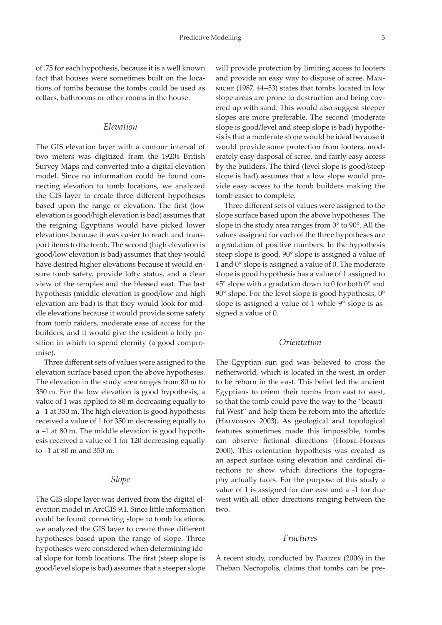of .75 for each hypothesis, because it is a well known fact that houses were sometimes built on the locations of tombs because the tombs could be used as cellars, bathrooms or other rooms in the house.

## *Elevation*

The GIS elevation layer with a contour interval of two meters was digitized from the 1920s British Survey Maps and converted into a digital elevation model. Since no information could be found connecting elevation to tomb locations, we analyzed the GIS layer to create three different hypotheses based upon the range of elevation. The first (low elevation is good/high elevation is bad) assumes that the reigning Egyptians would have picked lower elevations because it was easier to reach and transport items to the tomb. The second (high elevation is good/low elevation is bad) assumes that they would have desired higher elevations because it would ensure tomb safety, provide lofty status, and a clear view of the temples and the blessed east. The last hypothesis (middle elevation is good/low and high elevation are bad) is that they would look for middle elevations because it would provide some safety from tomb raiders, moderate ease of access for the builders, and it would give the resident a lofty position in which to spend eternity (a good compromise).

Three different sets of values were assigned to the elevation surface based upon the above hypotheses. The elevation in the study area ranges from 80 m to 350 m. For the low elevation is good hypothesis, a value of 1 was applied to 80 m decreasing equally to a –1 at 350 m. The high elevation is good hypothesis received a value of 1 for 350 m decreasing equally to a –1 at 80 m. The middle elevation is good hypothesis received a value of 1 for 120 decreasing equally to –1 at 80 m and 350 m.

#### *Slope*

The GIS slope layer was derived from the digital elevation model in ArcGIS 9.1. Since little information could be found connecting slope to tomb locations, we analyzed the GIS layer to create three different hypotheses based upon the range of slope. Three hypotheses were considered when determining ideal slope for tomb locations. The first (steep slope is good/level slope is bad) assumes that a steeper slope

will provide protection by limiting access to looters and provide an easy way to dispose of scree. Manniche (1987, 44–53) states that tombs located in low slope areas are prone to destruction and being covered up with sand. This would also suggest steeper slopes are more preferable. The second (moderate slope is good/level and steep slope is bad) hypothesis is that a moderate slope would be ideal because it would provide some protection from looters, moderately easy disposal of scree, and fairly easy access by the builders. The third (level slope is good/steep slope is bad) assumes that a low slope would provide easy access to the tomb builders making the tomb easier to complete.

Three different sets of values were assigned to the slope surface based upon the above hypotheses. The slope in the study area ranges from 0° to 90°. All the values assigned for each of the three hypotheses are a gradation of positive numbers. In the hypothesis steep slope is good, 90° slope is assigned a value of 1 and 0° slope is assigned a value of 0. The moderate slope is good hypothesis has a value of 1 assigned to 45° slope with a gradation down to 0 for both 0° and 90° slope. For the level slope is good hypothesis, 0° slope is assigned a value of 1 while 9° slope is assigned a value of 0.

# *Orientation*

The Egyptian sun god was believed to cross the netherworld, which is located in the west, in order to be reborn in the east. This belief led the ancient Egyptians to orient their tombs from east to west, so that the tomb could pave the way to the "beautiful West" and help them be reborn into the afterlife (Halvorson 2003). As geological and topological features sometimes made this impossible, tombs can observe fictional directions (HODEL-HOENES 2000). This orientation hypothesis was created as an aspect surface using elevation and cardinal directions to show which directions the topography actually faces. For the purpose of this study a value of 1 is assigned for due east and a –1 for due west with all other directions ranging between the two.

#### *Fractures*

A recent study, conducted by Parizek (2006) in the Theban Necropolis, claims that tombs can be pre-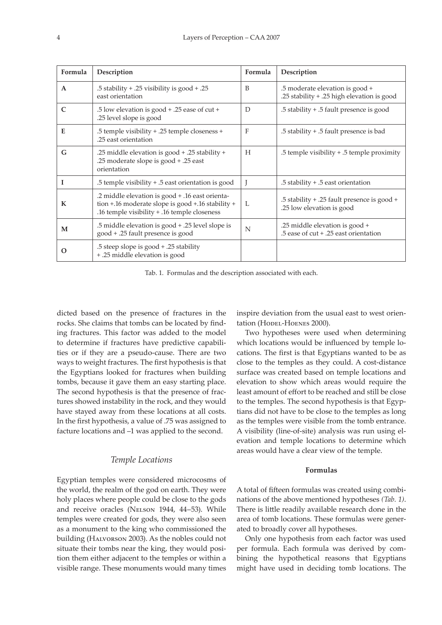| Formula      | Description                                                                                                                                          | Formula | Description                                                                   |
|--------------|------------------------------------------------------------------------------------------------------------------------------------------------------|---------|-------------------------------------------------------------------------------|
| $\mathbf{A}$ | .5 stability + .25 visibility is good + .25<br>east orientation                                                                                      | B       | .5 moderate elevation is good +<br>.25 stability + .25 high elevation is good |
| $\mathsf{C}$ | .5 low elevation is good + .25 ease of cut +<br>.25 level slope is good                                                                              | D       | .5 stability + .5 fault presence is good                                      |
| Е            | .5 temple visibility + .25 temple closeness +<br>.25 east orientation                                                                                | F       | .5 stability + .5 fault presence is bad                                       |
| G            | -25 middle elevation is good + .25 stability.<br>.25 moderate slope is good + .25 east<br>orientation                                                | H       | .5 temple visibility + .5 temple proximity                                    |
| I            | .5 temple visibility + .5 east orientation is good                                                                                                   |         | .5 stability + .5 east orientation                                            |
| K            | -2 middle elevation is good + .16 east orienta.<br>tion +.16 moderate slope is good +.16 stability +<br>.16 temple visibility + .16 temple closeness | L       | .5 stability + .25 fault presence is good +<br>.25 low elevation is good      |
| M            | .5 middle elevation is good + .25 level slope is<br>good + .25 fault presence is good                                                                | N       | .25 middle elevation is good +<br>.5 ease of cut + .25 east orientation       |
| O            | .5 steep slope is good + .25 stability<br>+.25 middle elevation is good                                                                              |         |                                                                               |

Tab. 1. Formulas and the description associated with each.

dicted based on the presence of fractures in the rocks. She claims that tombs can be located by finding fractures. This factor was added to the model to determine if fractures have predictive capabilities or if they are a pseudo-cause. There are two ways to weight fractures. The first hypothesis is that the Egyptians looked for fractures when building tombs, because it gave them an easy starting place. The second hypothesis is that the presence of fractures showed instability in the rock, and they would have stayed away from these locations at all costs. In the first hypothesis, a value of .75 was assigned to facture locations and –1 was applied to the second.

## *Temple Locations*

Egyptian temples were considered microcosms of the world, the realm of the god on earth. They were holy places where people could be close to the gods and receive oracles (NELSON 1944, 44-53). While temples were created for gods, they were also seen as a monument to the king who commissioned the building (Halvorson 2003). As the nobles could not situate their tombs near the king, they would position them either adjacent to the temples or within a visible range. These monuments would many times inspire deviation from the usual east to west orientation (HODEL-HOENES 2000).

Two hypotheses were used when determining which locations would be influenced by temple locations. The first is that Egyptians wanted to be as close to the temples as they could. A cost-distance surface was created based on temple locations and elevation to show which areas would require the least amount of effort to be reached and still be close to the temples. The second hypothesis is that Egyptians did not have to be close to the temples as long as the temples were visible from the tomb entrance. A visibility (line-of-site) analysis was run using elevation and temple locations to determine which areas would have a clear view of the temple.

#### **Formulas**

A total of fifteen formulas was created using combinations of the above mentioned hypotheses *(Tab. 1)*. There is little readily available research done in the area of tomb locations. These formulas were generated to broadly cover all hypotheses.

Only one hypothesis from each factor was used per formula. Each formula was derived by combining the hypothetical reasons that Egyptians might have used in deciding tomb locations. The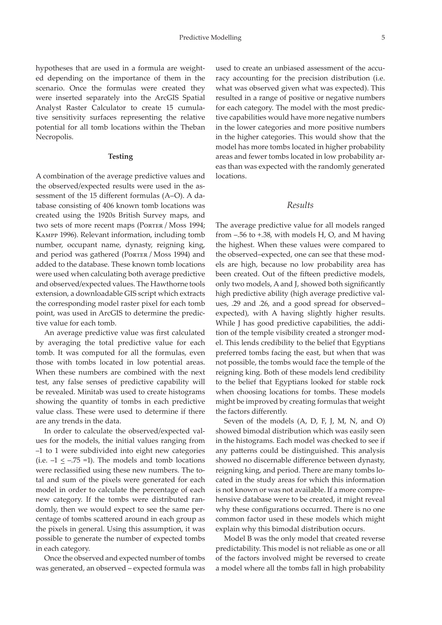hypotheses that are used in a formula are weighted depending on the importance of them in the scenario. Once the formulas were created they were inserted separately into the ArcGIS Spatial Analyst Raster Calculator to create 15 cumulative sensitivity surfaces representing the relative potential for all tomb locations within the Theban Necropolis.

#### **Testing**

A combination of the average predictive values and the observed/expected results were used in the assessment of the 15 different formulas (A–O). A database consisting of 406 known tomb locations was created using the 1920s British Survey maps, and two sets of more recent maps (PORTER / Moss 1994; Kampp 1996). Relevant information, including tomb number, occupant name, dynasty, reigning king, and period was gathered (PORTER / Moss 1994) and added to the database. These known tomb locations were used when calculating both average predictive and observed/expected values. The Hawthorne tools extension, a downloadable GIS script which extracts the corresponding model raster pixel for each tomb point, was used in ArcGIS to determine the predictive value for each tomb.

An average predictive value was first calculated by averaging the total predictive value for each tomb. It was computed for all the formulas, even those with tombs located in low potential areas. When these numbers are combined with the next test, any false senses of predictive capability will be revealed. Minitab was used to create histograms showing the quantity of tombs in each predictive value class. These were used to determine if there are any trends in the data.

In order to calculate the observed/expected values for the models, the initial values ranging from –1 to 1 were subdivided into eight new categories (i.e.  $-1 \le -0.75 = 1$ ). The models and tomb locations were reclassified using these new numbers. The total and sum of the pixels were generated for each model in order to calculate the percentage of each new category. If the tombs were distributed randomly, then we would expect to see the same percentage of tombs scattered around in each group as the pixels in general. Using this assumption, it was possible to generate the number of expected tombs in each category.

Once the observed and expected number of tombs was generated, an observed – expected formula was

used to create an unbiased assessment of the accuracy accounting for the precision distribution (i.e. what was observed given what was expected). This resulted in a range of positive or negative numbers for each category. The model with the most predictive capabilities would have more negative numbers in the lower categories and more positive numbers in the higher categories. This would show that the model has more tombs located in higher probability areas and fewer tombs located in low probability areas than was expected with the randomly generated locations.

### *Results*

The average predictive value for all models ranged from –.56 to +.38, with models H, O, and M having the highest. When these values were compared to the observed–expected, one can see that these models are high, because no low probability area has been created. Out of the fifteen predictive models, only two models, A and J, showed both significantly high predictive ability (high average predictive values, .29 and .26, and a good spread for observed– expected), with A having slightly higher results. While J has good predictive capabilities, the addition of the temple visibility created a stronger model. This lends credibility to the belief that Egyptians preferred tombs facing the east, but when that was not possible, the tombs would face the temple of the reigning king. Both of these models lend credibility to the belief that Egyptians looked for stable rock when choosing locations for tombs. These models might be improved by creating formulas that weight the factors differently.

Seven of the models (A, D, F, J, M, N, and O) showed bimodal distribution which was easily seen in the histograms. Each model was checked to see if any patterns could be distinguished. This analysis showed no discernable difference between dynasty, reigning king, and period. There are many tombs located in the study areas for which this information is not known or was not available. If a more comprehensive database were to be created, it might reveal why these configurations occurred. There is no one common factor used in these models which might explain why this bimodal distribution occurs.

Model B was the only model that created reverse predictability. This model is not reliable as one or all of the factors involved might be reversed to create a model where all the tombs fall in high probability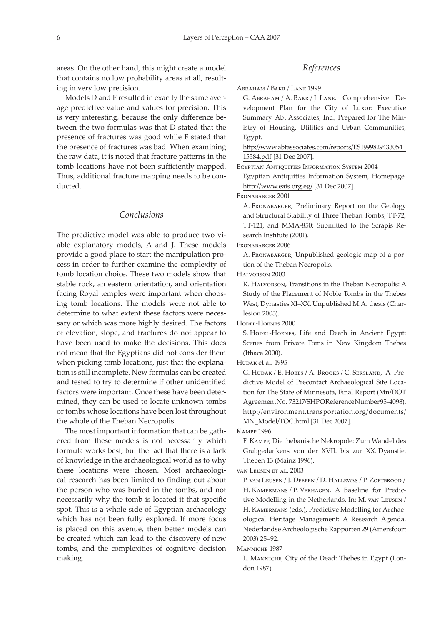areas. On the other hand, this might create a model that contains no low probability areas at all, resulting in very low precision.

Models D and F resulted in exactly the same average predictive value and values for precision. This is very interesting, because the only difference between the two formulas was that D stated that the presence of fractures was good while F stated that the presence of fractures was bad. When examining the raw data, it is noted that fracture patterns in the tomb locations have not been sufficiently mapped. Thus, additional fracture mapping needs to be conducted.

# *Conclusions*

The predictive model was able to produce two viable explanatory models, A and J. These models provide a good place to start the manipulation process in order to further examine the complexity of tomb location choice. These two models show that stable rock, an eastern orientation, and orientation facing Royal temples were important when choosing tomb locations. The models were not able to determine to what extent these factors were necessary or which was more highly desired. The factors of elevation, slope, and fractures do not appear to have been used to make the decisions. This does not mean that the Egyptians did not consider them when picking tomb locations, just that the explanation is still incomplete. New formulas can be created and tested to try to determine if other unidentified factors were important. Once these have been determined, they can be used to locate unknown tombs or tombs whose locations have been lost throughout the whole of the Theban Necropolis.

The most important information that can be gathered from these models is not necessarily which formula works best, but the fact that there is a lack of knowledge in the archaeological world as to why these locations were chosen. Most archaeological research has been limited to finding out about the person who was buried in the tombs, and not necessarily why the tomb is located it that specific spot. This is a whole side of Egyptian archaeology which has not been fully explored. If more focus is placed on this avenue, then better models can be created which can lead to the discovery of new tombs, and the complexities of cognitive decision making.

## *References*

Abraham / Bakr / Lane 1999

G. Abraham / A. Bakr / J. Lane, Comprehensive Development Plan for the City of Luxor: Executive Summary. Abt Associates, Inc., Prepared for The Ministry of Housing, Utilities and Urban Communities, Egypt.

[http://www.abtassociates.com/reports/ES](http://www.abtassociates.com/reports/ES1999829433054_ 15584.pdf)1999829433054\_ [15584.pdf](http://www.abtassociates.com/reports/ES1999829433054_ 15584.pdf) [31 Dec 2007].

Egyptian Antiquities Information System 2004

Egyptian Antiquities Information System, Homepage. [http://www.eais.org.eg](http://www.eais.org.eg/)/ [31 Dec 2007].

Fronabarger 2001

A. Fronabarger, Preliminary Report on the Geology and Structural Stability of Three Theban Tombs, TT-72, TT-121, and MMA-850: Submitted to the Scrapis Research Institute (2001).

FRONABARGER 2006

A. Fronabarger, Unpublished geologic map of a portion of the Theban Necropolis.

Halvorson 2003

K. Halvorson, Transitions in the Theban Necropolis: A Study of the Placement of Noble Tombs in the Thebes West, Dynasties XI–XX. Unpublished M.A. thesis (Charleston 2003).

Hodel-Hoenes 2000

S. HODEL-HOENES, Life and Death in Ancient Egypt: Scenes from Private Toms in New Kingdom Thebes (Ithaca 2000).

Hudak et al. 1995

G. Hudak / E. Hobbs / A. Brooks / C. Sersland, A Predictive Model of Precontact Archaeological Site Location for The State of Minnesota, Final Report (Mn/DOT Agreement No. 73217/SHPO Reference Number 95-4098). [http://environment.transportation.org/documents/](http://environment.transportation.org/documents/MN_Model/TOC.html) [MN\\_Model/TOC.html](http://environment.transportation.org/documents/MN_Model/TOC.html) [31 Dec 2007].

Kampp 1996

F. Kampp, Die thebanische Nekropole: Zum Wandel des Grabgedankens von der XVII. bis zur XX. Dyanstie. Theben 13 (Mainz 1996).

van Leusen et al. 2003

P. van Leusen / J. Deeben / D. Hallewas / P. Zoetbrood / H. KAMERMANS / P. VERHAGEN, A Baseline for Predictive Modelling in the Netherlands. In: M. van Leusen / H. Kamermans (eds.), Predictive Modelling for Archaeological Heritage Management: A Research Agenda. Nederlandse Archeologische Rapporten 29 (Amersfoort 2003) 25–92.

Manniche 1987

L. Manniche, City of the Dead: Thebes in Egypt (London 1987).